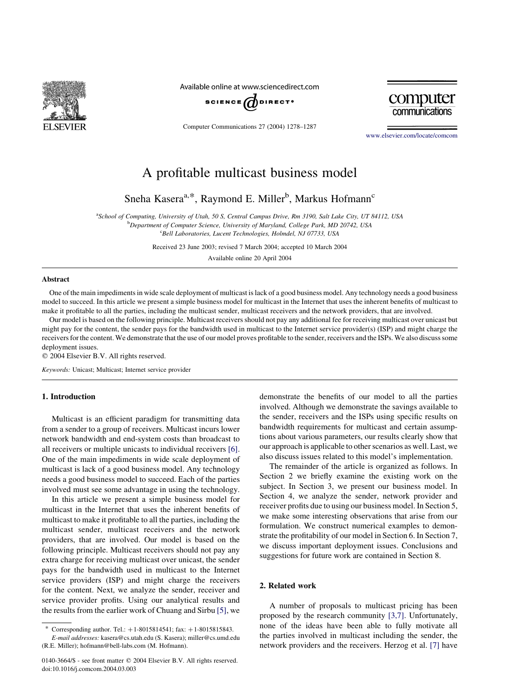

Available online at www.sciencedirect.com



Computer Communications 27 (2004) 1278–1287



[www.elsevier.com/locate/comcom](http://www.elsevier.com/locate/comcom)

## A profitable multicast business model

Sneha Kasera<sup>a,\*</sup>, Raymond E. Miller<sup>b</sup>, Markus Hofmann<sup>c</sup>

a<br>School of Computing, University of Utah, 50 S, Central Campus Drive, Rm 3190, Salt Lake City, UT 84112, USA **b** Department of Computer Science, University of Maryland, College Park, MD 20742, USA <sup>c</sup>Bell Laboratories, Lucent Technologies, Holmdel, NJ 07733, USA

Received 23 June 2003; revised 7 March 2004; accepted 10 March 2004

Available online 20 April 2004

#### Abstract

One of the main impediments in wide scale deployment of multicast is lack of a good business model. Any technology needs a good business model to succeed. In this article we present a simple business model for multicast in the Internet that uses the inherent benefits of multicast to make it profitable to all the parties, including the multicast sender, multicast receivers and the network providers, that are involved.

Our model is based on the following principle. Multicast receivers should not pay any additional fee for receiving multicast over unicast but might pay for the content, the sender pays for the bandwidth used in multicast to the Internet service provider(s) (ISP) and might charge the receivers for the content. We demonstrate that the use of our model proves profitable to the sender, receivers and the ISPs. We also discuss some deployment issues.

 $©$  2004 Elsevier B.V. All rights reserved.

Keywords: Unicast; Multicast; Internet service provider

#### 1. Introduction

Multicast is an efficient paradigm for transmitting data from a sender to a group of receivers. Multicast incurs lower network bandwidth and end-system costs than broadcast to all receivers or multiple unicasts to individual receivers [\[6\]](#page--1-0). One of the main impediments in wide scale deployment of multicast is lack of a good business model. Any technology needs a good business model to succeed. Each of the parties involved must see some advantage in using the technology.

In this article we present a simple business model for multicast in the Internet that uses the inherent benefits of multicast to make it profitable to all the parties, including the multicast sender, multicast receivers and the network providers, that are involved. Our model is based on the following principle. Multicast receivers should not pay any extra charge for receiving multicast over unicast, the sender pays for the bandwidth used in multicast to the Internet service providers (ISP) and might charge the receivers for the content. Next, we analyze the sender, receiver and service provider profits. Using our analytical results and the results from the earlier work of Chuang and Sirbu [\[5\],](#page--1-0) we

(R.E. Miller); hofmann@bell-labs.com (M. Hofmann).

demonstrate the benefits of our model to all the parties involved. Although we demonstrate the savings available to the sender, receivers and the ISPs using specific results on bandwidth requirements for multicast and certain assumptions about various parameters, our results clearly show that our approach is applicable to other scenarios as well. Last, we also discuss issues related to this model's implementation.

The remainder of the article is organized as follows. In Section 2 we briefly examine the existing work on the subject. In Section 3, we present our business model. In Section 4, we analyze the sender, network provider and receiver profits due to using our business model. In Section 5, we make some interesting observations that arise from our formulation. We construct numerical examples to demonstrate the profitability of our model in Section 6. In Section 7, we discuss important deployment issues. Conclusions and suggestions for future work are contained in Section 8.

### 2. Related work

A number of proposals to multicast pricing has been proposed by the research community [\[3,7\]](#page--1-0). Unfortunately, none of the ideas have been able to fully motivate all the parties involved in multicast including the sender, the network providers and the receivers. Herzog et al. [\[7\]](#page--1-0) have

Corresponding author. Tel.:  $+ 1-8015814541$ ; fax:  $+ 1-8015815843$ . E-mail addresses: kasera@cs.utah.edu (S. Kasera); miller@cs.umd.edu

<sup>0140-3664/\$ -</sup> see front matter © 2004 Elsevier B.V. All rights reserved. doi:10.1016/j.comcom.2004.03.003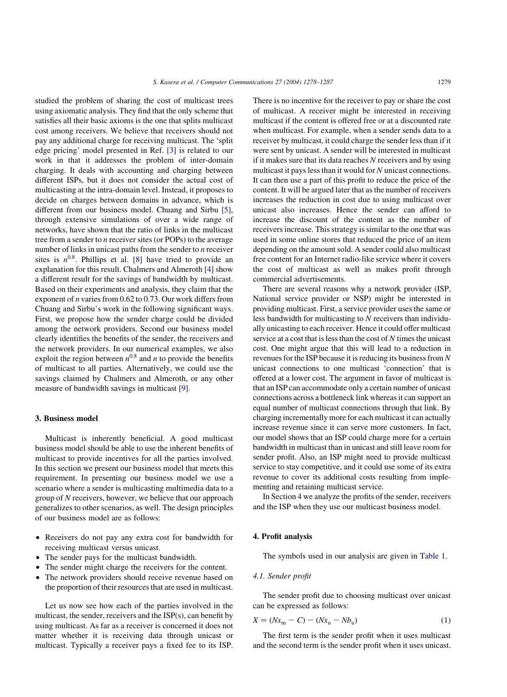studied the problem of sharing the cost of multicast trees using axiomatic analysis. They find that the only scheme that satisfies all their basic axioms is the one that splits multicast cost among receivers. We believe that receivers should not pay any additional charge for receiving multicast. The 'split edge pricing' model presented in Ref. [\[3\]](#page--1-0) is related to our work in that it addresses the problem of inter-domain charging. It deals with accounting and charging between different ISPs, but it does not consider the actual cost of multicasting at the intra-domain level. Instead, it proposes to decide on charges between domains in advance, which is different from our business model. Chuang and Sirbu [\[5\]](#page--1-0), through extensive simulations of over a wide range of networks, have shown that the ratio of links in the multicast tree from a sender to n receiver sites (or POPs) to the average number of links in unicast paths from the sender to *n* receiver sites is  $n^{0.8}$ . Phillips et al. [\[8\]](#page--1-0) have tried to provide an explanation for this result. Chalmers and Almeroth [\[4\]](#page--1-0) show a different result for the savings of bandwidth by multicast. Based on their experiments and analysis, they claim that the exponent of  $n$  varies from 0.62 to 0.73. Our work differs from Chuang and Sirbu's work in the following significant ways. First, we propose how the sender charge could be divided among the network providers. Second our business model clearly identifies the benefits of the sender, the receivers and the network providers. In our numerical examples, we also exploit the region between  $n^{0.8}$  and *n* to provide the benefits of multicast to all parties. Alternatively, we could use the savings claimed by Chalmers and Almeroth, or any other measure of bandwidth savings in multicast [\[9\].](#page--1-0)

#### 3. Business model

Multicast is inherently beneficial. A good multicast business model should be able to use the inherent benefits of multicast to provide incentives for all the parties involved. In this section we present our business model that meets this requirement. In presenting our business model we use a scenario where a sender is multicasting multimedia data to a group of N receivers, however, we believe that our approach generalizes to other scenarios, as well. The design principles of our business model are as follows:

- † Receivers do not pay any extra cost for bandwidth for receiving multicast versus unicast.
- The sender pays for the multicast bandwidth.
- The sender might charge the receivers for the content.
- The network providers should receive revenue based on the proportion of their resources that are used in multicast.

Let us now see how each of the parties involved in the multicast, the sender, receivers and the ISP(s), can benefit by using multicast. As far as a receiver is concerned it does not matter whether it is receiving data through unicast or multicast. Typically a receiver pays a fixed fee to its ISP.

There is no incentive for the receiver to pay or share the cost of multicast. A receiver might be interested in receiving multicast if the content is offered free or at a discounted rate when multicast. For example, when a sender sends data to a receiver by multicast, it could charge the sender less than if it were sent by unicast. A sender will be interested in multicast if it makes sure that its data reaches  $N$  receivers and by using multicast it pays less than it would for N unicast connections. It can then use a part of this profit to reduce the price of the content. It will be argued later that as the number of receivers increases the reduction in cost due to using multicast over unicast also increases. Hence the sender can afford to increase the discount of the content as the number of receivers increase. This strategy is similar to the one that was used in some online stores that reduced the price of an item depending on the amount sold. A sender could also multicast free content for an Internet radio-like service where it covers the cost of multicast as well as makes profit through commercial advertisements.

There are several reasons why a network provider (ISP, National service provider or NSP) might be interested in providing multicast. First, a service provider uses the same or less bandwidth for multicasting to N receivers than individually unicasting to each receiver. Hence it could offer multicast service at a cost that is less than the cost of N times the unicast cost. One might argue that this will lead to a reduction in revenues for the ISP because it is reducing its business from N unicast connections to one multicast 'connection' that is offered at a lower cost. The argument in favor of multicast is that an ISP can accommodate only a certain number of unicast connections across a bottleneck link whereas it can support an equal number of multicast connections through that link. By charging incrementally more for each multicast it can actually increase revenue since it can serve more customers. In fact, our model shows that an ISP could charge more for a certain bandwidth in multicast than in unicast and still leave room for sender profit. Also, an ISP might need to provide multicast service to stay competitive, and it could use some of its extra revenue to cover its additional costs resulting from implementing and retaining multicast service.

In Section 4 we analyze the profits of the sender, receivers and the ISP when they use our multicast business model.

#### 4. Profit analysis

The symbols used in our analysis are given in [Table 1](#page--1-0).

#### 4.1. Sender profit

The sender profit due to choosing multicast over unicast can be expressed as follows:

$$
X = (Nx_m - C) - (Nx_u - Nb_u)
$$
 (1)

The first term is the sender profit when it uses multicast and the second term is the sender profit when it uses unicast.